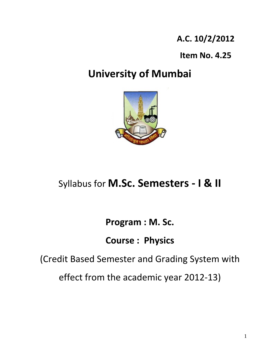**A.C. 10/2/2012**

**Item No. 4.25**

# **University of Mumbai**



# Syllabus for **M.Sc. Semesters ‐ I & II**

**Program : M. Sc.** 

**Course : Physics** 

(Credit Based Semester and Grading System with

effect from the academic year 2012‐13)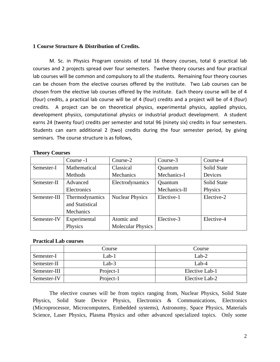#### **1 Course Structure & Distribution of Credits.**

M. Sc. in Physics Program consists of total 16 theory courses, total 6 practical lab courses and 2 projects spread over four semesters. Twelve theory courses and four practical lab courses will be common and compulsory to all the students. Remaining four theory courses can be chosen from the elective courses offered by the institute. Two Lab courses can be chosen from the elective lab courses offered by the institute. Each theory course will be of 4 (four) credits, a practical lab course will be of 4 (four) credits and a project will be of 4 (four) credits. A project can be on theoretical physics, experimental physics, applied physics, development physics, computational physics or industrial product development. A student earns 24 (twenty four) credits per semester and total 96 (ninety six) credits in four semesters. Students can earn additional 2 (two) credits during the four semester period, by giving seminars. The course structure is as follows,

#### **Theory Courses**

|              | Course -1       | Course-2                 | Course-3     | Course-4           |
|--------------|-----------------|--------------------------|--------------|--------------------|
| Semester-I   | Mathematical    | Classical                | Quantum      | <b>Solid State</b> |
|              | Methods         | Mechanics                | Mechanics-I  | Devices            |
| Semester-II  | Advanced        | Electrodynamics          | Quantum      | <b>Solid State</b> |
|              | Electronics     |                          | Mechanics-II | Physics            |
| Semester-III | Thermodynamics  | <b>Nuclear Physics</b>   | Elective-1   | Elective-2         |
|              | and Statistical |                          |              |                    |
|              | Mechanics       |                          |              |                    |
| Semester-IV  | Experimental    | Atomic and               | Elective-3   | Elective-4         |
|              | Physics         | <b>Molecular Physics</b> |              |                    |

## **Practical Lab courses**

|              | Course    | Course         |
|--------------|-----------|----------------|
| Semester-I   | Lab-1     | $Lab-2$        |
| Semester-II  | Lab-3     | Lab- $4$       |
| Semester-III | Project-1 | Elective Lab-1 |
| Semester-IV  | Project-1 | Elective Lab-2 |

The elective courses will be from topics ranging from, Nuclear Physics, Solid State Physics, Solid State Device Physics, Electronics & Communications, Electronics (Microprocessor, Microcomputers, Embedded systems), Astronomy, Space Physics, Materials Science, Laser Physics, Plasma Physics and other advanced specialized topics. Only some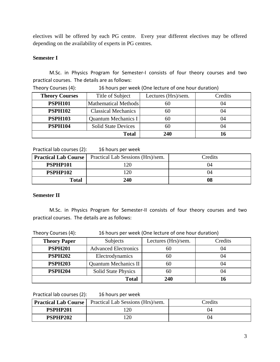electives will be offered by each PG centre. Every year different electives may be offered depending on the availability of experts in PG centres.

## **Semester I**

M.Sc. in Physics Program for Semester‐I consists of four theory courses and two practical courses. The details are as follows:

| <b>Theory Courses</b> | Title of Subject           | Lectures (Hrs)/sem. | Credits |
|-----------------------|----------------------------|---------------------|---------|
| <b>PSPH101</b>        | Mathematical Methods       | 60                  | 04      |
| <b>PSPH102</b>        | <b>Classical Mechanics</b> | 60                  | 04      |
| <b>PSPH103</b>        | <b>Quantum Mechanics I</b> | 60                  | 04      |
| <b>PSPH104</b>        | <b>Solid State Devices</b> | 60                  | 04      |
|                       | <b>Total</b>               | 240                 |         |

Theory Courses (4): 16 hours per week (One lecture of one hour duration)

Practical lab courses (2): 16 hours per week

| <b>Practical Lab Course</b><br>Practical Lab Sessions (Hrs)/sem. |     | Credits |
|------------------------------------------------------------------|-----|---------|
| PSPHP101                                                         | 120 | 04      |
| PSPHP102                                                         | 120 | 04      |
| <b>Total</b>                                                     | 240 | 08      |

## **Semester II**

M.Sc. in Physics Program for Semester‐II consists of four theory courses and two practical courses. The details are as follows:

| Theory Courses (4): | 16 hours per week (One lecture of one hour duration) |                     |         |
|---------------------|------------------------------------------------------|---------------------|---------|
| <b>Theory Paper</b> | Subjects                                             | Lectures (Hrs)/sem. | Credits |

| <b>Theory Paper</b> | Subjects                    | Lectures (Hrs)/sem. | Cregits |
|---------------------|-----------------------------|---------------------|---------|
| <b>PSPH201</b>      | <b>Advanced Electronics</b> | 60                  | 04      |
| <b>PSPH202</b>      | Electrodynamics             | 60                  | 04      |
| <b>PSPH203</b>      | <b>Quantum Mechanics II</b> | 60                  | 04      |
| <b>PSPH204</b>      | <b>Solid State Physics</b>  | 60                  | 04      |
|                     | <b>Total</b>                | 240                 |         |

Practical lab courses (2): 16 hours per week

|                 | <b>Practical Lab Course</b>   Practical Lab Sessions (Hrs)/sem. | Credits |
|-----------------|-----------------------------------------------------------------|---------|
| <b>PSPHP201</b> | 120                                                             |         |
| PSPHP202        | l 20                                                            |         |

 $\overline{\phantom{0}}$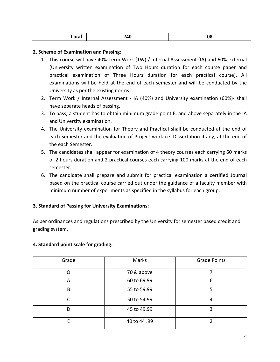| $-4-$<br>1 otal | <b>240</b> | VO. |
|-----------------|------------|-----|
|                 |            |     |

## **2. Scheme of Examination and Passing:**

- 1. This course will have 40% Term Work (TW) / Internal Assessment (IA) and 60% external (University written examination of Two Hours duration for each course paper and practical examination of Three Hours duration for each practical course). All examinations will be held at the end of each semester and will be conducted by the University as per the existing norms.
- 2. Term Work / Internal Assessment ‐ IA (40%) and University examination (60%)‐ shall have separate heads of passing.
- 3. To pass, a student has to obtain minimum grade point E, and above separately in the IA and University examination.
- 4. The University examination for Theory and Practical shall be conducted at the end of each Semester and the evaluation of Project work i.e. Dissertation if any, at the end of the each Semester.
- 5. The candidates shall appear for examination of 4 theory courses each carrying 60 marks of 2 hours duration and 2 practical courses each carrying 100 marks at the end of each semester.
- 6. The candidate shall prepare and submit for practical examination a certified Journal based on the practical course carried out under the guidance of a faculty member with minimum number of experiments as specified in the syllabus for each group.

## **3. Standard of Passing for University Examinations:**

As per ordinances and regulations prescribed by the University for semester based credit and grading system.

## **4. Standard point scale for grading:**

| Grade | Marks       | <b>Grade Points</b> |
|-------|-------------|---------------------|
| O     | 70 & above  |                     |
| A     | 60 to 69.99 | 6                   |
| B     | 55 to 59.99 |                     |
| ┌     | 50 to 54.99 |                     |
| D     | 45 to 49.99 | 3                   |
| F     | 40 to 44.99 |                     |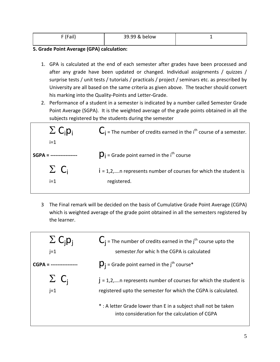| $F/I = -11$<br><br>. . | 39.99 & below |  |
|------------------------|---------------|--|
|                        |               |  |

## **5. Grade Point Average (GPA) calculation:**

- 1. GPA is calculated at the end of each semester after grades have been processed and after any grade have been updated or changed. Individual assignments / quizzes / surprise tests / unit tests / tutorials / practicals / project / seminars etc. as prescribed by University are all based on the same criteria as given above. The teacher should convert his marking into the Quality‐Points and Letter‐Grade.
- 2. Performance of a student in a semester is indicated by a number called Semester Grade Point Average (SGPA). It is the weighted average of the grade points obtained in all the subjects registered by the students during the semester



3 The Final remark will be decided on the basis of Cumulative Grade Point Average (CGPA) which is weighted average of the grade point obtained in all the semesters registered by the learner.

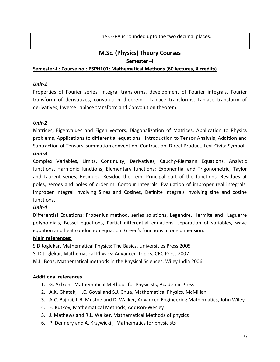The CGPA is rounded upto the two decimal places.

## **M.Sc. (Physics) Theory Courses Semester –I**

## **Semester‐I : Course no.: PSPH101: Mathematical Methods (60 lectures, 4 credits)**

## *Unit‐1*

Properties of Fourier series, integral transforms, development of Fourier integrals, Fourier transform of derivatives, convolution theorem. Laplace transforms, Laplace transform of derivatives, Inverse Laplace transform and Convolution theorem.

## *Unit‐2*

Matrices, Eigenvalues and Eigen vectors, Diagonalization of Matrices, Application to Physics problems, Applications to differential equations. Introduction to Tensor Analysis, Addition and Subtraction of Tensors, summation convention, Contraction, Direct Product, Levi‐Civita Symbol *Unit‐3*

Complex Variables, Limits, Continuity, Derivatives, Cauchy‐Riemann Equations, Analytic functions, Harmonic functions, Elementary functions: Exponential and Trigonometric, Taylor and Laurent series, Residues, Residue theorem, Principal part of the functions, Residues at poles, zeroes and poles of order m, Contour Integrals, Evaluation of improper real integrals, improper integral involving Sines and Cosines, Definite integrals involving sine and cosine functions.

## *Unit‐4*

Differential Equations: Frobenius method, series solutions, Legendre, Hermite and Laguerre polynomials, Bessel equations, Partial differential equations, separation of variables, wave equation and heat conduction equation. Green's functions in one dimension.

## **Main references:**

S.D.Joglekar, Mathematical Physics: The Basics, Universities Press 2005

S. D.Joglekar, Mathematical Physics: Advanced Topics, CRC Press 2007

M.L. Boas, Mathematical methods in the Physical Sciences, Wiley India 2006

## **Additional references.**

- 1. G. Arfken: Mathematical Methods for Physicists, Academic Press
- 2. A.K. Ghatak, I.C. Goyal and S.J. Chua, Mathematical Physics, McMillan
- 3. A.C. Bajpai, L.R. Mustoe and D. Walker, Advanced Engineering Mathematics, John Wiley
- 4. E. Butkov, Mathematical Methods, Addison‐Wesley
- 5. J. Mathews and R.L. Walker, Mathematical Methods of physics
- 6. P. Dennery and A. Krzywicki , Mathematics for physicists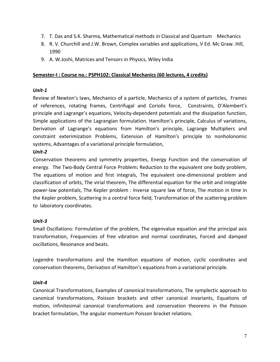- 7. T. Das and S.K. Sharma, Mathematical methods in Classical and Quantum Mechanics
- 8. R. V. Churchill and J.W. Brown, Complex variables and applications, V Ed. Mc Graw. Hill, 1990
- 9. A. W.Joshi, Matrices and Tensors in Physics, Wiley India

## **Semester‐I : Course no.: PSPH102: Classical Mechanics (60 lectures, 4 credits)**

## *Unit‐1*

Review of Newton's laws, Mechanics of a particle, Mechanics of a system of particles, Frames of references, rotating frames, Centrifugal and Coriolis force, Constraints, D'Alembert's principle and Lagrange's equations, Velocity‐dependent potentials and the dissipation function, Simple applications of the Lagrangian formulation. Hamilton's principle, Calculus of variations, Derivation of Lagrange's equations from Hamilton's principle, Lagrange Multipliers and constraint exterimization Problems, Extension of Hamilton's principle to nonholonomic systems, Advantages of a variational principle formulation,

## *Unit‐2*

Conservation theorems and symmetry properties, Energy Function and the conservation of energy. The Two‐Body Central Force Problem**:** Reduction to the equivalent one body problem, The equations of motion and first integrals, The equivalent one-dimensional problem and classification of orbits, The virial theorem, The differential equation for the orbit and integrable power‐law potentials, The Kepler problem : Inverse square law of force, The motion in time in the Kepler problem, Scattering in a central force field, Transformation of the scattering problem to laboratory coordinates.

## *Unit‐3*

Small Oscillations: Formulation of the problem, The eigenvalue equation and the principal axis transformation, Frequencies of free vibration and normal coordinates, Forced and damped oscillations, Resonance and beats.

Legendre transformations and the Hamilton equations of motion, cyclic coordinates and conservation theorems, Derivation of Hamilton's equations from a variational principle.

## *Unit‐4*

Canonical Transformations, Examples of canonical transformations, The symplectic approach to canonical transformations, Poisson brackets and other canonical invariants, Equations of motion, infinitesimal canonical transformations and conservation theorems in the Poisson bracket formulation, The angular momentum Poisson bracket relations.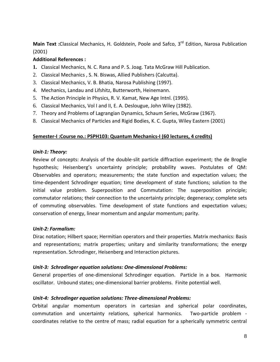**Main Text** : Classical Mechanics, H. Goldstein, Poole and Safco, 3<sup>rd</sup> Edition, Narosa Publication (2001)

## **Additional References :**

- **1.** Classical Mechanics, N. C. Rana and P. S. Joag. Tata McGraw Hill Publication.
- 2. Classical Mechanics , S. N. Biswas, Allied Publishers (Calcutta).
- 3. Classical Mechanics, V. B. Bhatia, Narosa Publishing (1997).
- 4. Mechanics, Landau and Lifshitz, Butterworth, Heinemann.
- 5. The Action Principle in Physics, R. V. Kamat, New Age Intnl. (1995).
- 6. Classical Mechanics, Vol I and II, E. A. Deslougue, John Wiley (1982).
- 7. Theory and Problems of Lagrangian Dynamics, Schaum Series, McGraw (1967).
- 8. Classical Mechanics of Particles and Rigid Bodies, K. C. Gupta, Wiley Eastern (2001)

## **Semester‐I :Course no.: PSPH103: Quantum Mechanics‐I (60 lectures, 4 credits)**

#### *Unit‐1: Theory:*

Review of concepts: Analysis of the double‐slit particle diffraction experiment; the de Broglie hypothesis; Heisenberg's uncertainty principle; probability waves. Postulates of QM: Observables and operators; measurements; the state function and expectation values; the time‐dependent Schrodinger equation; time development of state functions; solution to the initial value problem. Superposition and Commutation: The superposition principle; commutator relations; their connection to the uncertainty principle; degeneracy; complete sets of commuting observables. Time development of state functions and expectation values; conservation of energy, linear momentum and angular momentum; parity.

## *Unit‐2: Formalism:*

Dirac notation; Hilbert space; Hermitian operators and their properties. Matrix mechanics: Basis and representations; matrix properties; unitary and similarity transformations; the energy representation. Schrodinger, Heisenberg and Interaction pictures.

## *Unit‐3: Schrodinger equation solutions: One‐dimensional Problems:*

General properties of one-dimensional Schrodinger equation. Particle in a box. Harmonic oscillator. Unbound states; one‐dimensional barrier problems. Finite potential well.

## *Unit‐4: Schrodinger equation solutions: Three‐dimensional Problems:*

Orbital angular momentum operators in cartesian and spherical polar coordinates, commutation and uncertainty relations, spherical harmonics. Two-particle problem coordinates relative to the centre of mass; radial equation for a spherically symmetric central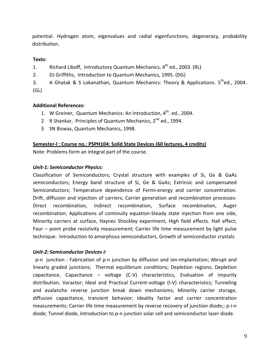potential. Hydrogen atom, eigenvalues and radial eigenfunctions, degeneracy, probability distribution.

## **Texts:**

1. Richard Liboff, Introductory Quantum Mechanics,  $4<sup>th</sup>$  ed., 2003. (RL)

2. DJ Griffiths, Introduction to Quantum Mechanics, 1995. (DG)

3. A Ghatak & S Lokanathan, Quantum Mechanics: Theory & Applications.  $5^{th}$ ed., 2004. (GL)

## **Additional References:**

- 1. W Greiner, Quantum Mechanics: An Introduction, 4<sup>th</sup>. ed., 2004.
- 2 R Shankar, Principles of Quantum Mechanics, 2<sup>nd</sup> ed., 1994.
- 3 SN Biswas, Quantum Mechanics, 1998.

## **Semester‐I : Course no.: PSPH104: Solid State Devices (60 lectures, 4 credits)**

Note: Problems form an integral part of the course.

## *Unit‐1: Semiconductor Physics:*

Classification of Semiconductors; Crystal structure with examples of Si, Ge & GaAs semiconductors; Energy band structure of Si, Ge & GaAs; Extrinsic and compensated Semiconductors; Temperature dependence of Fermi-energy and carrier concentration. Drift, diffusion and injection of carriers; Carrier generation and recombination processes‐ Direct recombination, Indirect recombination, Surface recombination, Auger recombination; Applications of continuity equation‐Steady state injection from one side, Minority carriers at surface, Haynes Shockley experiment, High field effects. Hall effect; Four – point probe resistivity measurement; Carrier life time measurement by light pulse technique. Introduction to amorphous semiconductors, Growth of semiconductor crystals.

## *Unit‐2: Semiconductor Devices I:*

 p‐n junction : Fabrication of p‐n junction by diffusion and ion‐implantation; Abrupt and linearly graded junctions; Thermal equilibrium conditions; Depletion regions; Depletion capacitance, Capacitance – voltage (C‐V) characteristics, Evaluation of impurity distribution, Varactor; Ideal and Practical Current‐voltage (I‐V) characteristics; Tunneling and avalanche reverse junction break down mechanisms; Minority carrier storage, diffusion capacitance, transient behavior; Ideality factor and carrier concentration measurements; Carrier life time measurement by reverse recovery of junction diode;; p-i-n diode; Tunnel diode, Introduction to p‐n junction solar cell and semiconductor laser diode.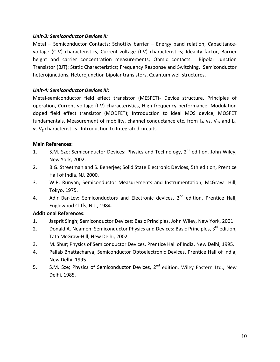## *Unit‐3: Semiconductor Devices II:*

Metal – Semiconductor Contacts: Schottky barrier – Energy band relation, Capacitancevoltage (C‐V) characteristics, Current‐voltage (I‐V) characteristics; Ideality factor, Barrier height and carrier concentration measurements; Ohmic contacts. Bipolar Junction Transistor (BJT): Static Characteristics; Frequency Response and Switching. Semiconductor heterojunctions, Heterojunction bipolar transistors, Quantum well structures.

## *Unit‐4: Semiconductor Devices III:*

Metal‐semiconductor field effect transistor (MESFET)‐ Device structure, Principles of operation, Current voltage (I‐V) characteristics, High frequency performance. Modulation doped field effect transistor (MODFET); Introduction to ideal MOS device; MOSFET fundamentals, Measurement of mobility, channel conductance etc. from  $I_{ds}$  vs,  $V_{ds}$  and  $I_{ds}$ vs  $V_g$  characteristics. Introduction to Integrated circuits.

## **Main References:**

- 1. S.M. Sze; Semiconductor Devices: Physics and Technology,  $2^{nd}$  edition, John Wiley, New York, 2002.
- 2. B.G. Streetman and S. Benerjee; Solid State Electronic Devices, 5th edition, Prentice Hall of India, NJ, 2000.
- 3. W.R. Runyan; Semiconductor Measurements and Instrumentation, McGraw Hill, Tokyo, 1975.
- 4. Adir Bar-Lev: Semiconductors and Electronic devices, 2<sup>nd</sup> edition, Prentice Hall, Englewood Cliffs, N.J., 1984.

## **Additional References:**

- 1. Jasprit Singh; Semiconductor Devices: Basic Principles, John Wiley, New York, 2001.
- 2. Donald A. Neamen; Semiconductor Physics and Devices: Basic Principles, 3<sup>rd</sup> edition, Tata McGraw‐Hill, New Delhi, 2002.
- 3. M. Shur; Physics of Semiconductor Devices, Prentice Hall of India, New Delhi, 1995.
- 4. Pallab Bhattacharya; Semiconductor Optoelectronic Devices, Prentice Hall of India, New Delhi, 1995.
- 5. S.M. Sze; Physics of Semiconductor Devices, 2<sup>nd</sup> edition, Wiley Eastern Ltd., New Delhi, 1985.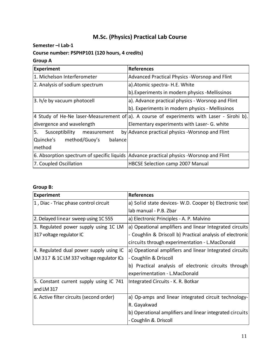## **M.Sc. (Physics) Practical Lab Course**

## **Semester –I Lab‐1**

## **Course number: PSPHP101 (120 hours, 4 credits)**

## **Group A**

| <b>Experiment</b>                   | <b>References</b>                                                                          |
|-------------------------------------|--------------------------------------------------------------------------------------------|
| 1. Michelson Interferometer         | Advanced Practical Physics - Worsnop and Flint                                             |
| 2. Analysis of sodium spectrum      | a). Atomic spectra - H.E. White                                                            |
|                                     | b). Experiments in modern physics -Mellissinos                                             |
| 3. h/e by vacuum photocell          | a). Advance practical physics - Worsnop and Flint                                          |
|                                     | b). Experiments in modern physics - Mellissinos                                            |
|                                     | 4 Study of He-Ne laser-Measurement of a). A course of experiments with Laser - Sirohi b).  |
| divergence and wavelength           | Elementary experiments with Laser- G. white                                                |
| 5.<br>Susceptibility<br>measurement | by Advance practical physics - Worsnop and Flint                                           |
| Quincke's method/Guoy's<br>balance  |                                                                                            |
| method                              |                                                                                            |
|                                     | 6. Absorption spectrum of specific liquids   Advance practical physics - Worsnop and Flint |
| 7. Coupled Oscillation              | HBCSE Selection camp 2007 Manual                                                           |

## **Group B:**

| <b>Experiment</b>                        | <b>References</b>                                         |
|------------------------------------------|-----------------------------------------------------------|
| 1, Diac - Triac phase control circuit    | a) Solid state devices- W.D. Cooper b) Electronic text    |
|                                          | lab manual - P.B. Zbar                                    |
| 2. Delayed linear sweep using 1C 555     | a) Electronic Principles - A. P. Malvino                  |
| 3. Regulated power supply using 1C LM    | a) Opeational amplifiers and linear Integrated circuits   |
| 317 voltage regulator IC                 | - Coughlin & Driscoll b) Practical analysis of electronic |
|                                          | circuits through experimentation - L.MacDonald            |
| 4. Regulated dual power supply using IC  | a) Opeational amplifiers and linear Integrated circuits   |
| LM 317 & 1C LM 337 voltage regulator ICs | - Coughlin & Driscoll                                     |
|                                          | b) Practical analysis of electronic circuits through      |
|                                          | experimentation - L.MacDonald                             |
| 5. Constant current supply using IC 741  | Integrated Circuits - K. R. Botkar                        |
| and LM 317                               |                                                           |
| 6. Active filter circuits (second order) | a) Op-amps and linear integrated circuit technology-      |
|                                          | R. Gayakwad                                               |
|                                          | b) Operational amplifiers and linear integrated circuits  |
|                                          | - Coughlin &. Driscoll                                    |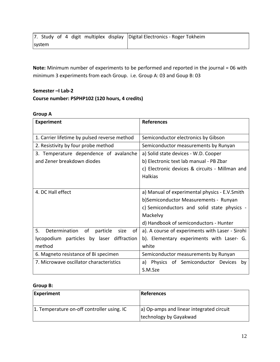| 7. Study of 4 digit multiplex display Digital Electronics - Roger Tokheim |  |
|---------------------------------------------------------------------------|--|
| system                                                                    |  |

**Note:** Minimum number of experiments to be performed and reported in the journal = 06 with minimum 3 experiments from each Group. i.e. Group A: 03 and Goup B: 03

## **Semester –I Lab‐2 Course number: PSPHP102 (120 hours, 4 credits)**

## **Group A**

| <b>Experiment</b>                                   | <b>References</b>                               |
|-----------------------------------------------------|-------------------------------------------------|
| 1. Carrier lifetime by pulsed reverse method        | Semiconductor electronics by Gibson             |
| 2. Resistivity by four probe method                 | Semiconductor measurements by Runyan            |
| 3. Temperature dependence of avalanche              | a) Solid state devices - W.D. Cooper            |
| and Zener breakdown diodes                          | b) Electronic text lab manual - PB Zbar         |
|                                                     | c) Electronic devices & circuits - Millman and  |
|                                                     | <b>Halkias</b>                                  |
|                                                     |                                                 |
| 4. DC Hall effect                                   | a) Manual of experimental physics - E.V.Smith   |
|                                                     | b)Semiconductor Measurements - Runyan           |
|                                                     | c) Semiconductors and solid state physics -     |
|                                                     | Mackelvy                                        |
|                                                     | d) Handbook of semiconductors - Hunter          |
| 5.<br>Determination<br>of<br>particle<br>size<br>of | a). A course of experiments with Laser - Sirohi |
| lycopodium particles by laser diffraction           | b). Elementary experiments with Laser- G.       |
| method                                              | white                                           |
| 6. Magneto resistance of Bi specimen                | Semiconductor measurements by Runyan            |
| 7. Microwave oscillator characteristics             | a) Physics of Semiconductor Devices<br>by       |
|                                                     | S.M.Sze                                         |

## **Group B:**

| Experiment                                 | References                               |
|--------------------------------------------|------------------------------------------|
| 1. Temperature on-off controller using. IC | a) Op-amps and linear integrated circuit |
|                                            | technology by Gayakwad                   |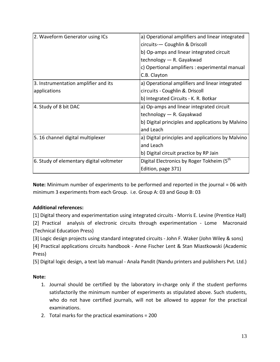| 2. Waveform Generator using ICs          | a) Operational amplifiers and linear integrated         |
|------------------------------------------|---------------------------------------------------------|
|                                          | circuits-- Coughlin & Driscoll                          |
|                                          | b) Op-amps and linear integrated circuit                |
|                                          | technology - R. Gayakwad                                |
|                                          | c) Opertional amplifiers : experimental manual          |
|                                          | C.B. Clayton                                            |
| 3. Instrumentation amplifier and its     | a) Operational amplifiers and linear integrated         |
| applications                             | circuits - Coughlin &. Driscoll                         |
|                                          | b) Integrated Circuits - K. R. Botkar                   |
| 4. Study of 8 bit DAC                    | a) Op-amps and linear integrated circuit                |
|                                          | technology - R. Gayakwad                                |
|                                          | b) Digital principles and applications by Malvino       |
|                                          | and Leach                                               |
| 5. 16 channel digital multiplexer        | a) Digital principles and applications by Malvino       |
|                                          | and Leach                                               |
|                                          | b) Digital circuit practice by RP Jain                  |
| 6. Study of elementary digital voltmeter | Digital Electronics by Roger Tokheim (5 <sup>th</sup> ) |
|                                          | Edition, page 371)                                      |

**Note:** Minimum number of experiments to be performed and reported in the journal = 06 with minimum 3 experiments from each Group. i.e. Group A: 03 and Goup B: 03

## **Additional references:**

[1] Digital theory and experimentation using integrated circuits ‐ Morris E. Levine (Prentice Hall)

[2] Practical analysis of electronic circuits through experimentation - Lome Macronaid (Technical Education Press)

[3] Logic design projects using standard integrated circuits ‐ John F. Waker (John Wiley & sons)

[4] Practical applications circuits handbook - Anne Fischer Lent & Stan Miastkowski (Academic Press)

[5] Digital logic design, a text lab manual ‐ Anala Pandit (Nandu printers and publishers Pvt. Ltd.)

## **Note:**

- 1. Journal should be certified by the laboratory in‐charge only if the student performs satisfactorily the minimum number of experiments as stipulated above. Such students, who do not have certified journals, will not be allowed to appear for the practical examinations.
- 2. Total marks for the practical examinations = 200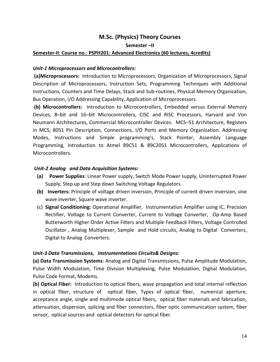## **M.Sc. (Physics) Theory Courses**

**Semester –II**

## **Semester‐II: Course no.: PSPH201: Advanced Electronics (60 lectures, 4credits)**

## *Unit‐1 Microprocessors and Microcontrollers:*

**(a)Microprocessors:** Introduction to Microprocessors, Organization of Microprocessors, Signal Description of Microprocessors, Instruction Sets, Programming Techniques with Additional Instructions, Counters and Time Delays, Stack and Sub‐routines, Physical Memory Organization, Bus Operation, I/O Addressing Capability, Application of Microprocessors.

**(b) Microcontrollers:** Introduction to Microcontrollers, Embedded versus External Memory Devices, 8–bit and 16–bit Microcontrollers, CISC and RISC Processors, Harvard and Von Neumann Architectures, Commercial Microcontroller Devices. MCS–51 Architecture, Registers in MCS, 8051 Pin Description, Connections, I/O Ports and Memory Organization. Addressing Modes, Instructions and Simple programming's, Stack Pointer, Assembly Language Programming, Introduction to Atmel 89C51 & 89C2051 Microcontrollers, Applications of Microcontrollers.

## *Unit‐2 Analog and Data Acquisition Systems:*

- **(a) Power Supplies**: Linear Power supply, Switch Mode Power supply, Uninterrupted Power Supply, Step up and Step down Switching Voltage Regulators.
- **(b) Inverters:** Principle of voltage driven inversion, Principle of current driven inversion, sine wave inverter, Square wave inverter.
- (c) **Signal Conditioning:** Operational Amplifier, Instrumentation Amplifier using IC, Precision Rectifier, Voltage to Current Converter, Current to Voltage Converter, Op-Amp Based Butterworth Higher Order Active Filters and Multiple Feedback Filters, Voltage Controlled Oscillator , Analog Multiplexer, Sample and Hold circuits, Analog to Digital Converters, Digital to Analog Converters.

## *Unit‐3 Data Transmissions, Instrumentations Circuits& Designs:*

**(a) Data Transmission Systems**: Analog and Digital Transmissions, Pulse Amplitude Modulation, Pulse Width Modulation, Time Division Multiplexing, Pulse Modulation, Digital Modulation, Pulse Code Format, Modems.

**(b) Optical Fiber:** Introduction to optical fibers, wave propagation and total internal reflection in optical fiber, structure of optical fiber, Types of optical fiber, numerical aperture, acceptance angle, single and multimode optical fibers, optical fiber materials and fabrication, attenuation, dispersion, splicing and fiber connectors, fiber optic communication system, fiber sensor, optical sources and optical detectors for optical fiber.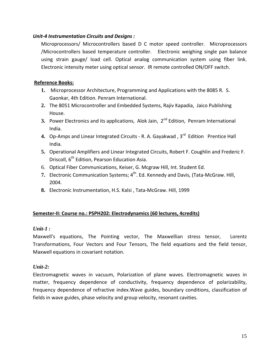## *Unit‐4 Instrumentation Circuits and Designs :*

Microprocessors/ Microcontrollers based D C motor speed controller. Microprocessors /Microcontrollers based temperature controller. Electronic weighing single pan balance using strain gauge/ load cell. Optical analog communication system using fiber link. Electronic intensity meter using optical sensor. IR remote controlled ON/OFF switch.

## **Reference Books:**

- **1.** Microprocessor Architecture, Programming and Applications with the 8085 R. S. Gaonkar, 4th Edition. Penram International.
- **2.** The 8051 Microcontroller and Embedded Systems, Rajiv Kapadia, Jaico Publishing House.
- **3.** Power Electronics and its applications, Alok Jain, 2<sup>nd</sup> Edition, Penram International India.
- **4.** Op‐Amps and Linear Integrated Circuits ‐ R. A. Gayakwad , 3rd Edition Prentice Hall India.
- **5.** Operational Amplifiers and Linear Integrated Circuits, Robert F. Coughlin and Frederic F. Driscoll, 6<sup>th</sup> Edition, Pearson Education Asia.
- 6. Optical Fiber Communications, Keiser, G. Mcgraw Hill, Int. Student Ed.
- **7.** Electronic Communication Systems; 4<sup>th</sup>. Ed. Kennedy and Davis, (Tata-McGraw. Hill, 2004.
- **8.** Electronic Instrumentation, H.S. Kalsi , Tata‐McGraw. Hill, 1999

## **Semester‐II: Course no.: PSPH202: Electrodynamics (60 lectures, 4credits)**

## *Unit-1 :*

Maxwell's equations, The Pointing vector, The Maxwellian stress tensor, Lorentz Transformations, Four Vectors and Four Tensors, The field equations and the field tensor, Maxwell equations in covariant notation.

## *Unit-2:*

Electromagnetic waves in vacuum, Polarization of plane waves. Electromagnetic waves in matter, frequency dependence of conductivity, frequency dependence of polarizability, frequency dependence of refractive index.Wave guides, boundary conditions, classification of fields in wave guides, phase velocity and group velocity, resonant cavities.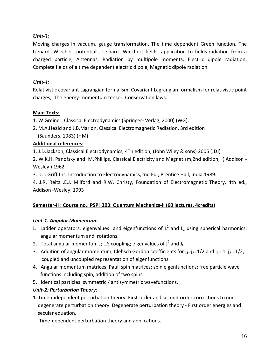## *Unit-3:*

Moving charges in vacuum, gauge transformation, The time dependent Green function, The Lienard‐ Wiechert potentials, Leinard‐ Wiechert fields, application to fields‐radiation from a charged particle, Antennas, Radiation by multipole moments, Electric dipole radiation, Complete fields of a time dependent electric dipole, Magnetic dipole radiation

## *Unit-4:*

Relativistic covariant Lagrangian formalism: Covariant Lagrangian formalism for relativistic point charges, The energy‐momentum tensor, Conservation laws.

## **Main Texts:**

- 1. W.Greiner, Classical Electrodynamics (Springer‐ Verlag, 2000) (WG).
- 2. M.A.Heald and J.B.Marion, Classical Electromagnetic Radiation, 3rd edition (Saunders, 1983) (HM)

## **Additional references:**

1. J.D.Jackson, Classical Electrodynamics, 4Th edition, (John Wiley & sons) 2005 (JDJ)

2. W.K.H. Panofsky and M.Phillips, Classical Electricity and Magnetism,2nd edition, ( Addison ‐ Wesley ) 1962.

3. D.J. Griffiths, Introduction to Electrodynamics,2nd Ed., Prentice Hall, India,1989.

4. J.R. Reitz ,E.J. Milford and R.W. Christy, Foundation of Electromagnetic Theory, 4th ed., Addison ‐Wesley, 1993

## **Semester‐II : Course no.: PSPH203: Quantum Mechanics‐II (60 lectures, 4credits)**

## *Unit‐1: Angular Momentum:*

- 1. Ladder operators, eigenvalues and eigenfunctions of  $L^2$  and  $L_z$  using spherical harmonics, angular momentum and rotations.
- 2. Total angular momentum J; L.S coupling; eigenvalues of  $J^2$  and J<sub>z.</sub>
- 3. Addition of angular momentum, Clebsch Gordon coefficients for  $j_1=j_2=1/2$  and  $j_1=1$ ,  $j_2=1/2$ , coupled and uncoupled representation of eigenfunctions.
- 4. Angular momentum matrices; Pauli spin matrices; spin eigenfunctions; free particle wave functions including spin, addition of two spins.
- 5. Identical particles: symmetric / antisymmetric wavefunctions.

## *Unit‐2: Perturbation Theory:*

1. Time‐independent perturbation theory: First‐order and second‐order corrections to non‐ degenerate perturbation theory. Degenerate perturbation theory ‐ First order energies and secular equation.

Time‐dependent perturbation theory and applications.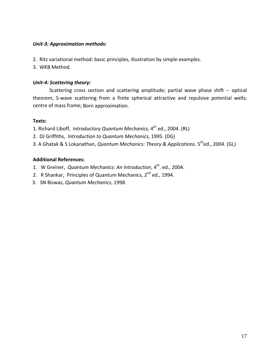## *Unit‐3: Approximation methods:*

- 2. Ritz variational method: basic principles, illustration by simple examples.
- 3. WKB Method.

## *Unit‐4: Scattering theory:*

Scattering cross section and scattering amplitude; partial wave phase shift -- optical theorem, S-wave scattering from a finite spherical attractive and repulsive potential wells; centre of mass frame; Born approximation.

## **Texts:**

- 1. Richard Liboff, *Introductory Quantum Mechanics,* 4th ed., 2004. (RL)
- 2. DJ Griffiths, *Introduction to Quantum Mechanics*, 1995. (DG)
- 3. A Ghatak & S Lokanathan, *Quantum Mechanics: Theory & Applications.* 5thed., 2004. (GL)

## **Additional References:**

- 1. W Greiner, *Quantum Mechanics: An Introduction*, 4th. ed., 2004.
- 2. R Shankar, Principles of Quantum Mechanics, 2<sup>nd</sup> ed., 1994.
- 3. SN Biswas, *Quantum Mechanics*, 1998.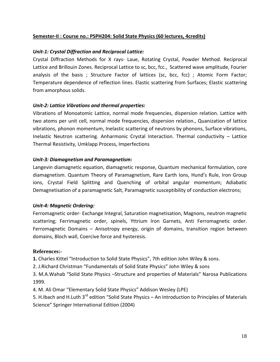## **Semester‐II : Course no.: PSPH204: Solid State Physics (60 lectures, 4credits)**

## *Unit‐1: Crystal Diffraction and Reciprocal Lattice:*

Crystal Diffraction Methods for X rays‐ Laue, Rotating Crystal, Powder Method. Reciprocal Lattice and Brillouin Zones. Reciprocal Lattice to sc, bcc, fcc., Scattered wave amplitude, Fourier analysis of the basis ; Structure Factor of lattices (sc, bcc, fcc) ; Atomic Form Factor; Temperature dependence of reflection lines. Elastic scattering from Surfaces; Elastic scattering from amorphous solids.

## *Unit‐2: Lattice Vibrations and thermal properties:*

Vibrations of Monoatomic Lattice, normal mode frequencies, dispersion relation. Lattice with two atoms per unit cell, normal mode frequencies, dispersion relation., Quanization of lattice vibrations, phonon momentum, Inelastic scattering of neutrons by phonons, Surface vibrations, Inelastic Neutron scattering. Anharmonic Crystal Interaction. Thermal conductivity – Lattice Thermal Resistivity, Umklapp Process, Imperfections

## *Unit‐3: Diamagnetism and Paramagnetism:*

Langevin diamagnetic equation, diamagnetic response, Quantum mechanical formulation, core diamagnetism. Quantum Theory of Paramagnetism, Rare Earth Ions, Hund's Rule, Iron Group ions, Crystal Field Splitting and Quenching of orbital angular momentum; Adiabatic Demagnetisation of a paramagnetic Salt, Paramagnetic susceptibility of conduction electrons;

## *Unit‐4: Magnetic Ordering:*

Ferromagnetic order‐ Exchange Integral, Saturation magnetisation, Magnons, neutron magnetic scattering; Ferrimagnetic order, spinels, Yttrium Iron Garnets, Anti Ferromagnetic order. Ferromagnetic Domains – Anisotropy energy, origin of domains, transition region between domains, Bloch wall, Coercive force and hysteresis.

## **References:-**

**1.** Charles Kittel "Introduction to Solid State Physics", 7th edition John Wiley & sons.

2. J.Richard Christman "Fundamentals of Solid State Physics" John Wiley & sons

3. M.A.Wahab "Solid State Physics –Structure and properties of Materials" Narosa Publications 1999.

- 4. M. Ali Omar "Elementary Solid State Physics" Addison Wesley (LPE)
- 5. H.Ibach and H.Luth 3<sup>rd</sup> edition "Solid State Physics An Introduction to Principles of Materials Science" Springer International Edition (2004)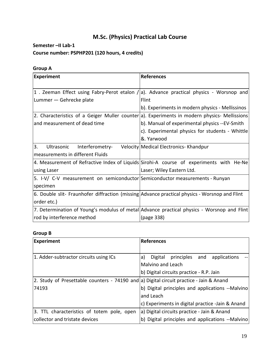## **M.Sc. (Physics) Practical Lab Course**

#### **Semester –II Lab‐1**

## **Course number: PSPHP201 (120 hours, 4 credits)**

## **Group A**

| <b>Experiment</b>                                                                             | <b>References</b>                                                                             |
|-----------------------------------------------------------------------------------------------|-----------------------------------------------------------------------------------------------|
|                                                                                               |                                                                                               |
|                                                                                               | 1. Zeeman Effect using Fabry-Perot etalon / a). Advance practical physics - Worsnop and       |
| Lummer — Gehrecke plate                                                                       | Flint                                                                                         |
|                                                                                               | b). Experiments in modern physics - Mellissinos                                               |
|                                                                                               | 2. Characteristics of a Geiger Muller counter [a]. Experiments in modern physics- Mellissions |
| and measurement of dead time                                                                  | b). Manual of experimental physics --EV-Smith                                                 |
|                                                                                               | c). Experimental physics for students - Whittle                                               |
|                                                                                               | &. Yarwood                                                                                    |
| 3.<br>Ultrasonic Interferometry-                                                              | Velocity Medical Electronics- Khandpur                                                        |
| measurements in different Fluids                                                              |                                                                                               |
|                                                                                               | 4. Measurement of Refractive Index of Liquids Sirohi-A course of experiments with He-Ne       |
| using Laser                                                                                   | Laser; Wiley Eastern Ltd.                                                                     |
| 5. I-V/ C-V measurement on semiconductor Semiconductor measurements - Runyan                  |                                                                                               |
| specimen                                                                                      |                                                                                               |
| 6. Double slit- Fraunhofer diffraction (missing Advance practical physics - Worsnop and Flint |                                                                                               |
| order etc.)                                                                                   |                                                                                               |
|                                                                                               | 7. Determination of Young's modulus of metal Advance practical physics - Worsnop and Flint    |
| rod by interference method                                                                    | (page 338)                                                                                    |

## **Group B**

| <b>Experiment</b>                                                                       | <b>References</b>                                |
|-----------------------------------------------------------------------------------------|--------------------------------------------------|
|                                                                                         |                                                  |
| 1. Adder-subtractor circuits using ICs                                                  | principles and<br>Digital<br>applications<br>a)  |
|                                                                                         | Malvino and Leach                                |
|                                                                                         | b) Digital circuits practice - R.P. Jain         |
| 2. Study of Presettable counters - 74190 and a) Digital circuit practice - Jain & Anand |                                                  |
| 74193                                                                                   | b) Digital principles and applications --Malvino |
|                                                                                         | and Leach                                        |
|                                                                                         | c) Experiments in digital practice -Jain & Anand |
| 3. TTL characteristics of totem pole, open                                              | a) Digital circuits practice - Jain & Anand      |
| collector and tristate devices                                                          | b) Digital principles and applications --Malvino |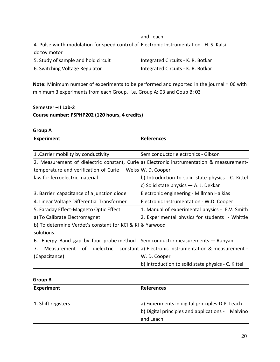|                                                                                         | and Leach                          |
|-----------------------------------------------------------------------------------------|------------------------------------|
| 4. Pulse width modulation for speed control of Electronic Instrumentation - H. S. Kalsi |                                    |
| dc toy motor                                                                            |                                    |
| 5. Study of sample and hold circuit                                                     | Integrated Circuits - K. R. Botkar |
| 6. Switching Voltage Regulator                                                          | Integrated Circuits - K. R. Botkar |

**Note:** Minimum number of experiments to be performed and reported in the journal = 06 with minimum 3 experiments from each Group. i.e. Group A: 03 and Goup B: 03

## **Semester –II Lab‐2**

## **Course number: PSPHP202 (120 hours, 4 credits)**

## **Group A**

| <b>Experiment</b>                                                           | <b>References</b>                                                                         |
|-----------------------------------------------------------------------------|-------------------------------------------------------------------------------------------|
|                                                                             |                                                                                           |
| 1. Carrier mobility by conductivity                                         | Semiconductor electronics - Gibson                                                        |
|                                                                             | 2. Measurement of dielectric constant, Curie a) Electronic instrumentation & measurement- |
| temperature and verification of $Curie$ Weiss W. D. Cooper                  |                                                                                           |
| law for ferroelectric material                                              | b) Introduction to solid state physics - C. Kittel                                        |
|                                                                             | c) Solid state physics - A. J. Dekkar                                                     |
| 3. Barrier capacitance of a junction diode                                  | Electronic engineering - Millman Halkias                                                  |
| 4. Linear Voltage Differential Transformer                                  | Electronic Instrumentation - W.D. Cooper                                                  |
| 5. Faraday Effect-Magneto Optic Effect                                      | 1. Manual of experimental physics - E.V. Smith                                            |
| a) To Calibrate Electromagnet                                               | 2. Experimental physics for students - Whittle                                            |
| b) To determine Verdet's constant for KCI & KI & Yarwood                    |                                                                                           |
| solutions.                                                                  |                                                                                           |
| 6. Energy Band gap by four probe method Semiconductor measurements - Runyan |                                                                                           |
| 7. Measurement of dielectric                                                | constant a) Electronic instrumentation & measurement -                                    |
| (Capacitance)                                                               | W. D. Cooper                                                                              |
|                                                                             | b) Introduction to solid state physics - C. Kittel                                        |

## **Group B**

| Experiment         | References                                       |
|--------------------|--------------------------------------------------|
|                    |                                                  |
| 1. Shift registers | a) Experiments in digital principles-D.P. Leach  |
|                    | b) Digital principles and applications - Malvino |
|                    | and Leach                                        |